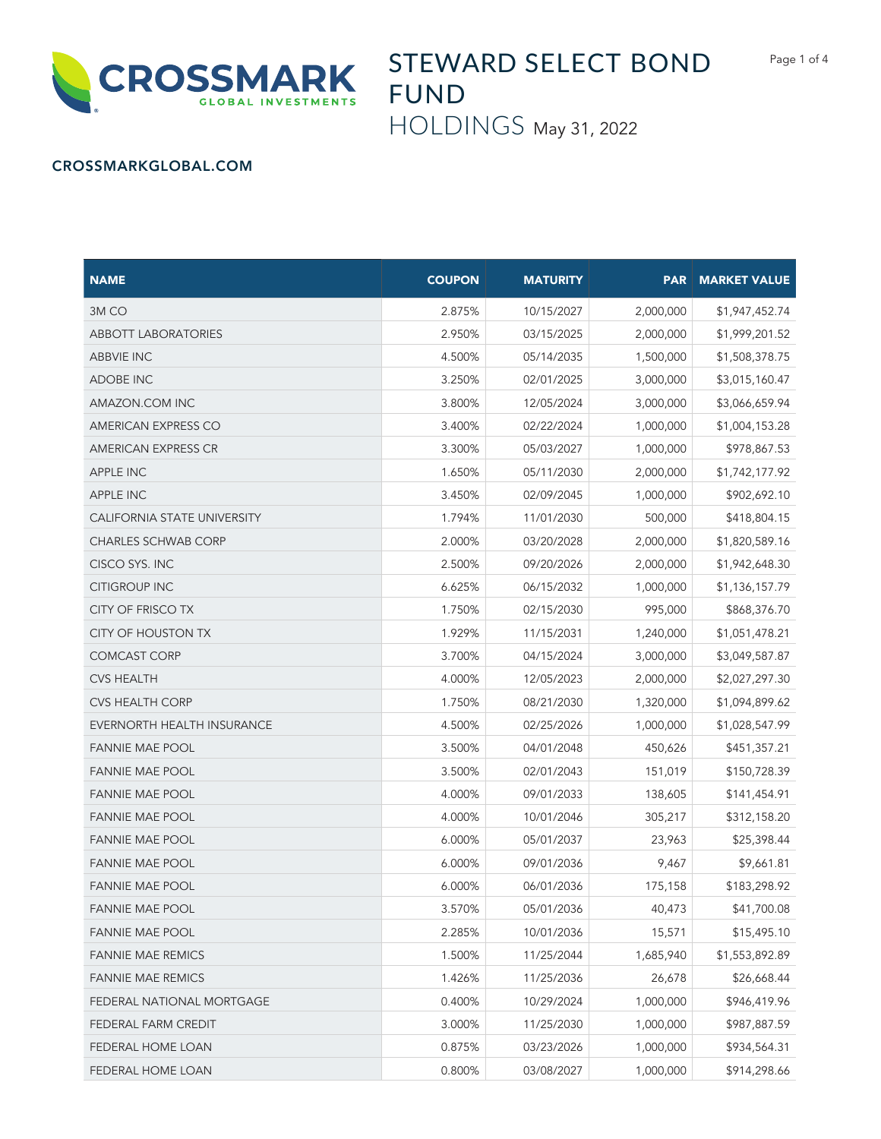

## STEWARD SELECT BOND FUND

HOLDINGS May 31, 2022

## CROSSMARKGLOBAL.COM

| <b>NAME</b>                 | <b>COUPON</b> | <b>MATURITY</b> | <b>PAR</b> | <b>MARKET VALUE</b> |
|-----------------------------|---------------|-----------------|------------|---------------------|
| 3MCO                        | 2.875%        | 10/15/2027      | 2,000,000  | \$1,947,452.74      |
| <b>ABBOTT LABORATORIES</b>  | 2.950%        | 03/15/2025      | 2,000,000  | \$1,999,201.52      |
| <b>ABBVIE INC</b>           | 4.500%        | 05/14/2035      | 1,500,000  | \$1,508,378.75      |
| ADOBE INC                   | 3.250%        | 02/01/2025      | 3,000,000  | \$3,015,160.47      |
| AMAZON.COM INC              | 3.800%        | 12/05/2024      | 3,000,000  | \$3,066,659.94      |
| <b>AMERICAN EXPRESS CO</b>  | 3.400%        | 02/22/2024      | 1,000,000  | \$1,004,153.28      |
| AMERICAN EXPRESS CR         | 3.300%        | 05/03/2027      | 1,000,000  | \$978,867.53        |
| <b>APPLE INC</b>            | 1.650%        | 05/11/2030      | 2,000,000  | \$1,742,177.92      |
| <b>APPLE INC</b>            | 3.450%        | 02/09/2045      | 1,000,000  | \$902,692.10        |
| CALIFORNIA STATE UNIVERSITY | 1.794%        | 11/01/2030      | 500,000    | \$418,804.15        |
| <b>CHARLES SCHWAB CORP</b>  | 2.000%        | 03/20/2028      | 2,000,000  | \$1,820,589.16      |
| CISCO SYS. INC              | 2.500%        | 09/20/2026      | 2,000,000  | \$1,942,648.30      |
| <b>CITIGROUP INC</b>        | 6.625%        | 06/15/2032      | 1,000,000  | \$1,136,157.79      |
| <b>CITY OF FRISCO TX</b>    | 1.750%        | 02/15/2030      | 995,000    | \$868,376.70        |
| <b>CITY OF HOUSTON TX</b>   | 1.929%        | 11/15/2031      | 1,240,000  | \$1,051,478.21      |
| <b>COMCAST CORP</b>         | 3.700%        | 04/15/2024      | 3,000,000  | \$3,049,587.87      |
| <b>CVS HEALTH</b>           | 4.000%        | 12/05/2023      | 2,000,000  | \$2,027,297.30      |
| <b>CVS HEALTH CORP</b>      | 1.750%        | 08/21/2030      | 1,320,000  | \$1,094,899.62      |
| EVERNORTH HEALTH INSURANCE  | 4.500%        | 02/25/2026      | 1,000,000  | \$1,028,547.99      |
| <b>FANNIE MAE POOL</b>      | 3.500%        | 04/01/2048      | 450,626    | \$451,357.21        |
| <b>FANNIE MAE POOL</b>      | 3.500%        | 02/01/2043      | 151,019    | \$150,728.39        |
| <b>FANNIE MAE POOL</b>      | 4.000%        | 09/01/2033      | 138,605    | \$141,454.91        |
| <b>FANNIE MAE POOL</b>      | 4.000%        | 10/01/2046      | 305,217    | \$312,158.20        |
| <b>FANNIE MAE POOL</b>      | 6.000%        | 05/01/2037      | 23,963     | \$25,398.44         |
| <b>FANNIE MAE POOL</b>      | 6.000%        | 09/01/2036      | 9,467      | \$9,661.81          |
| <b>FANNIE MAE POOL</b>      | 6.000%        | 06/01/2036      | 175,158    | \$183,298.92        |
| <b>FANNIE MAE POOL</b>      | 3.570%        | 05/01/2036      | 40,473     | \$41,700.08         |
| <b>FANNIE MAE POOL</b>      | 2.285%        | 10/01/2036      | 15,571     | \$15,495.10         |
| <b>FANNIE MAE REMICS</b>    | 1.500%        | 11/25/2044      | 1,685,940  | \$1,553,892.89      |
| <b>FANNIE MAE REMICS</b>    | 1.426%        | 11/25/2036      | 26,678     | \$26,668.44         |
| FEDERAL NATIONAL MORTGAGE   | 0.400%        | 10/29/2024      | 1,000,000  | \$946,419.96        |
| FEDERAL FARM CREDIT         | 3.000%        | 11/25/2030      | 1,000,000  | \$987,887.59        |
| FEDERAL HOME LOAN           | 0.875%        | 03/23/2026      | 1,000,000  | \$934,564.31        |
| FEDERAL HOME LOAN           | 0.800%        | 03/08/2027      | 1,000,000  | \$914,298.66        |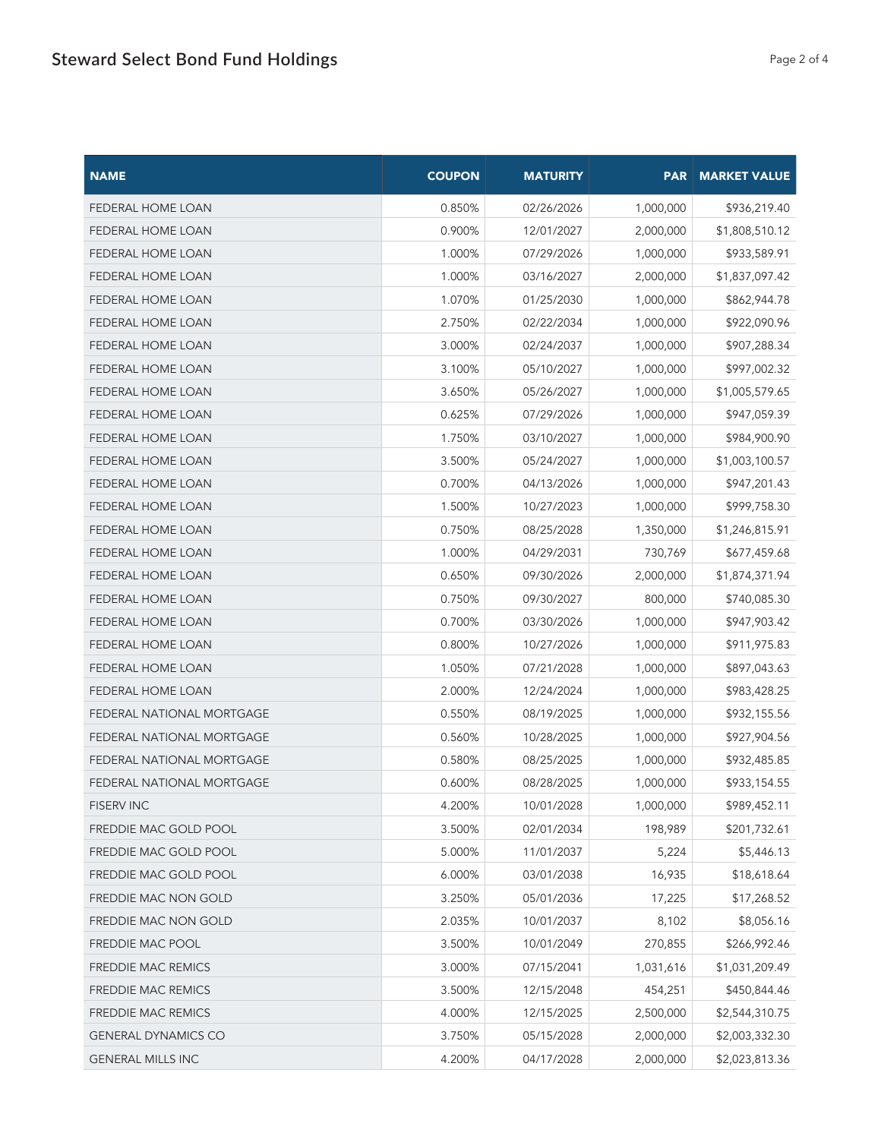| <b>NAME</b>                      | <b>COUPON</b> | <b>MATURITY</b> |           | <b>PAR   MARKET VALUE</b> |
|----------------------------------|---------------|-----------------|-----------|---------------------------|
| FEDERAL HOME LOAN                | 0.850%        | 02/26/2026      | 1,000,000 | \$936,219.40              |
| <b>FEDERAL HOME LOAN</b>         | 0.900%        | 12/01/2027      | 2,000,000 | \$1,808,510.12            |
| FEDERAL HOME LOAN                | 1.000%        | 07/29/2026      | 1,000,000 | \$933,589.91              |
| FEDERAL HOME LOAN                | 1.000%        | 03/16/2027      | 2,000,000 | \$1,837,097.42            |
| FEDERAL HOME LOAN                | 1.070%        | 01/25/2030      | 1,000,000 | \$862,944.78              |
| <b>FEDERAL HOME LOAN</b>         | 2.750%        | 02/22/2034      | 1,000,000 | \$922,090.96              |
| FEDERAL HOME LOAN                | 3.000%        | 02/24/2037      | 1,000,000 | \$907,288.34              |
| FEDERAL HOME LOAN                | 3.100%        | 05/10/2027      | 1,000,000 | \$997,002.32              |
| FEDERAL HOME LOAN                | 3.650%        | 05/26/2027      | 1,000,000 | \$1,005,579.65            |
| FEDERAL HOME LOAN                | 0.625%        | 07/29/2026      | 1,000,000 | \$947,059.39              |
| <b>FEDERAL HOME LOAN</b>         | 1.750%        | 03/10/2027      | 1,000,000 | \$984,900.90              |
| FEDERAL HOME LOAN                | 3.500%        | 05/24/2027      | 1,000,000 | \$1,003,100.57            |
| FEDERAL HOME LOAN                | 0.700%        | 04/13/2026      | 1,000,000 | \$947,201.43              |
| <b>FEDERAL HOME LOAN</b>         | 1.500%        | 10/27/2023      | 1,000,000 | \$999,758.30              |
| <b>FEDERAL HOME LOAN</b>         | 0.750%        | 08/25/2028      | 1,350,000 | \$1,246,815.91            |
| FEDERAL HOME LOAN                | 1.000%        | 04/29/2031      | 730,769   | \$677,459.68              |
| FEDERAL HOME LOAN                | 0.650%        | 09/30/2026      | 2,000,000 | \$1,874,371.94            |
| FEDERAL HOME LOAN                | 0.750%        | 09/30/2027      | 800,000   | \$740,085.30              |
| FEDERAL HOME LOAN                | 0.700%        | 03/30/2026      | 1,000,000 | \$947,903.42              |
| FEDERAL HOME LOAN                | 0.800%        | 10/27/2026      | 1,000,000 | \$911,975.83              |
| FEDERAL HOME LOAN                | 1.050%        | 07/21/2028      | 1,000,000 | \$897,043.63              |
| FEDERAL HOME LOAN                | 2.000%        | 12/24/2024      | 1,000,000 | \$983,428.25              |
| FEDERAL NATIONAL MORTGAGE        | 0.550%        | 08/19/2025      | 1,000,000 | \$932,155.56              |
| <b>FEDERAL NATIONAL MORTGAGE</b> | 0.560%        | 10/28/2025      | 1,000,000 | \$927,904.56              |
| FEDERAL NATIONAL MORTGAGE        | 0.580%        | 08/25/2025      | 1,000,000 | \$932,485.85              |
| FEDERAL NATIONAL MORTGAGE        | 0.600%        | 08/28/2025      | 1,000,000 | \$933,154.55              |
| <b>FISERV INC</b>                | 4.200%        | 10/01/2028      | 1,000,000 | \$989,452.11              |
| FREDDIE MAC GOLD POOL            | 3.500%        | 02/01/2034      | 198,989   | \$201,732.61              |
| FREDDIE MAC GOLD POOL            | 5.000%        | 11/01/2037      | 5,224     | \$5,446.13                |
| FREDDIE MAC GOLD POOL            | 6.000%        | 03/01/2038      | 16,935    | \$18,618.64               |
| FREDDIE MAC NON GOLD             | 3.250%        | 05/01/2036      | 17,225    | \$17,268.52               |
| FREDDIE MAC NON GOLD             | 2.035%        | 10/01/2037      | 8,102     | \$8,056.16                |
| FREDDIE MAC POOL                 | 3.500%        | 10/01/2049      | 270,855   | \$266,992.46              |
| FREDDIE MAC REMICS               | 3.000%        | 07/15/2041      | 1,031,616 | \$1,031,209.49            |
| FREDDIE MAC REMICS               | 3.500%        | 12/15/2048      | 454,251   | \$450,844.46              |
| FREDDIE MAC REMICS               | 4.000%        | 12/15/2025      | 2,500,000 | \$2,544,310.75            |
| <b>GENERAL DYNAMICS CO</b>       | 3.750%        | 05/15/2028      | 2,000,000 | \$2,003,332.30            |
| <b>GENERAL MILLS INC</b>         | 4.200%        | 04/17/2028      | 2,000,000 | \$2,023,813.36            |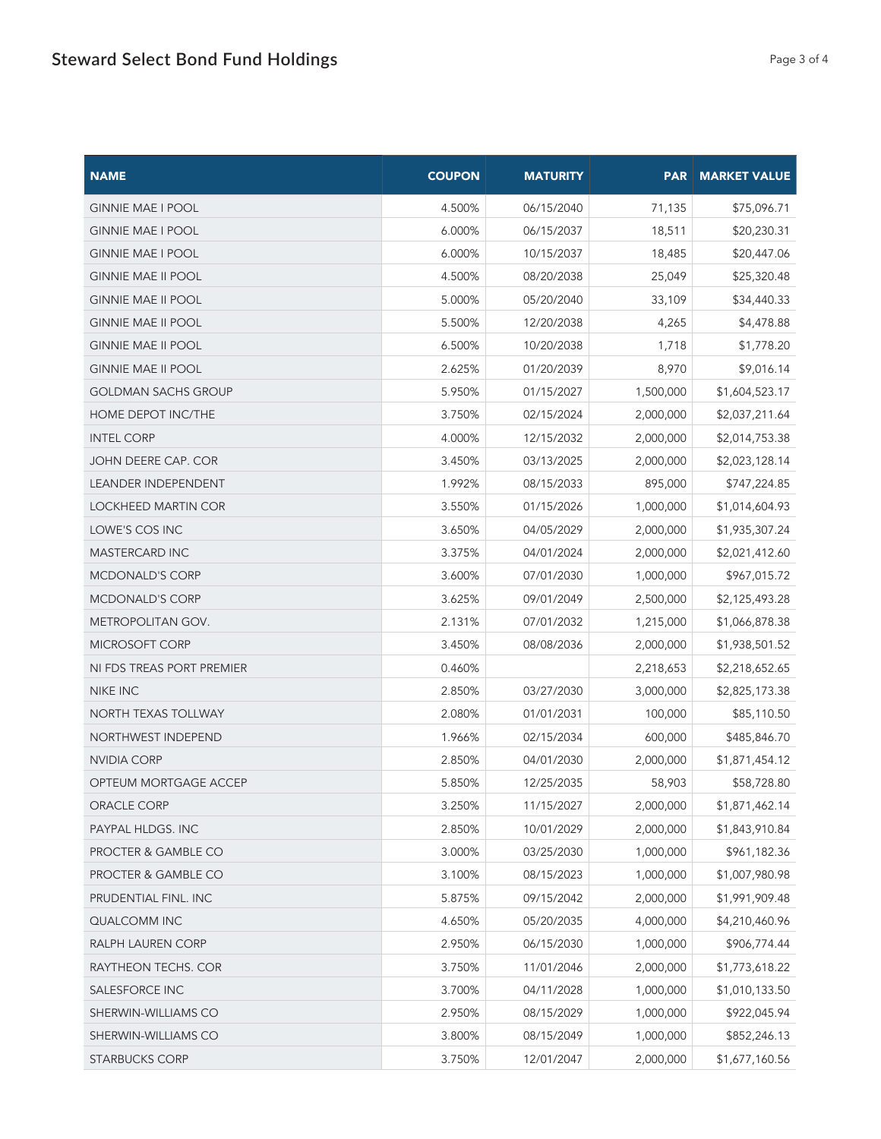| <b>NAME</b>                | <b>COUPON</b> | <b>MATURITY</b> |           | <b>PAR   MARKET VALUE</b> |
|----------------------------|---------------|-----------------|-----------|---------------------------|
| <b>GINNIE MAE I POOL</b>   | 4.500%        | 06/15/2040      | 71,135    | \$75,096.71               |
| <b>GINNIE MAE I POOL</b>   | 6.000%        | 06/15/2037      | 18,511    | \$20,230.31               |
| <b>GINNIE MAE I POOL</b>   | 6.000%        | 10/15/2037      | 18,485    | \$20,447.06               |
| <b>GINNIE MAE II POOL</b>  | 4.500%        | 08/20/2038      | 25,049    | \$25,320.48               |
| <b>GINNIE MAE II POOL</b>  | 5.000%        | 05/20/2040      | 33,109    | \$34,440.33               |
| <b>GINNIE MAE II POOL</b>  | 5.500%        | 12/20/2038      | 4,265     | \$4,478.88                |
| <b>GINNIE MAE II POOL</b>  | 6.500%        | 10/20/2038      | 1,718     | \$1,778.20                |
| <b>GINNIE MAE II POOL</b>  | 2.625%        | 01/20/2039      | 8,970     | \$9,016.14                |
| <b>GOLDMAN SACHS GROUP</b> | 5.950%        | 01/15/2027      | 1,500,000 | \$1,604,523.17            |
| HOME DEPOT INC/THE         | 3.750%        | 02/15/2024      | 2,000,000 | \$2,037,211.64            |
| <b>INTEL CORP</b>          | 4.000%        | 12/15/2032      | 2,000,000 | \$2,014,753.38            |
| <b>JOHN DEERE CAP. COR</b> | 3.450%        | 03/13/2025      | 2,000,000 | \$2,023,128.14            |
| <b>LEANDER INDEPENDENT</b> | 1.992%        | 08/15/2033      | 895,000   | \$747,224.85              |
| LOCKHEED MARTIN COR        | 3.550%        | 01/15/2026      | 1,000,000 | \$1,014,604.93            |
| LOWE'S COS INC             | 3.650%        | 04/05/2029      | 2,000,000 | \$1,935,307.24            |
| <b>MASTERCARD INC</b>      | 3.375%        | 04/01/2024      | 2,000,000 | \$2,021,412.60            |
| <b>MCDONALD'S CORP</b>     | 3.600%        | 07/01/2030      | 1,000,000 | \$967,015.72              |
| <b>MCDONALD'S CORP</b>     | 3.625%        | 09/01/2049      | 2,500,000 | \$2,125,493.28            |
| <b>METROPOLITAN GOV.</b>   | 2.131%        | 07/01/2032      | 1,215,000 | \$1,066,878.38            |
| MICROSOFT CORP             | 3.450%        | 08/08/2036      | 2,000,000 | \$1,938,501.52            |
| NI FDS TREAS PORT PREMIER  | 0.460%        |                 | 2,218,653 | \$2,218,652.65            |
| NIKE INC                   | 2.850%        | 03/27/2030      | 3,000,000 | \$2,825,173.38            |
| <b>NORTH TEXAS TOLLWAY</b> | 2.080%        | 01/01/2031      | 100,000   | \$85,110.50               |
| <b>NORTHWEST INDEPEND</b>  | 1.966%        | 02/15/2034      | 600,000   | \$485,846.70              |
| NVIDIA CORP                | 2.850%        | 04/01/2030      | 2,000,000 | \$1,871,454.12            |
| OPTEUM MORTGAGE ACCEP      | 5.850%        | 12/25/2035      | 58,903    | \$58,728.80               |
| ORACLE CORP                | 3.250%        | 11/15/2027      | 2,000,000 | \$1,871,462.14            |
| PAYPAL HLDGS. INC          | 2.850%        | 10/01/2029      | 2,000,000 | \$1,843,910.84            |
| PROCTER & GAMBLE CO        | 3.000%        | 03/25/2030      | 1,000,000 | \$961,182.36              |
| PROCTER & GAMBLE CO        | 3.100%        | 08/15/2023      | 1,000,000 | \$1,007,980.98            |
| PRUDENTIAL FINL. INC       | 5.875%        | 09/15/2042      | 2,000,000 | \$1,991,909.48            |
| QUALCOMM INC               | 4.650%        | 05/20/2035      | 4,000,000 | \$4,210,460.96            |
| RALPH LAUREN CORP          | 2.950%        | 06/15/2030      | 1,000,000 | \$906,774.44              |
| RAYTHEON TECHS. COR        | 3.750%        | 11/01/2046      | 2,000,000 | \$1,773,618.22            |
| SALESFORCE INC             | 3.700%        | 04/11/2028      | 1,000,000 | \$1,010,133.50            |
| SHERWIN-WILLIAMS CO        | 2.950%        | 08/15/2029      | 1,000,000 | \$922,045.94              |
| SHERWIN-WILLIAMS CO        | 3.800%        | 08/15/2049      | 1,000,000 | \$852,246.13              |
| <b>STARBUCKS CORP</b>      | 3.750%        | 12/01/2047      | 2,000,000 | \$1,677,160.56            |